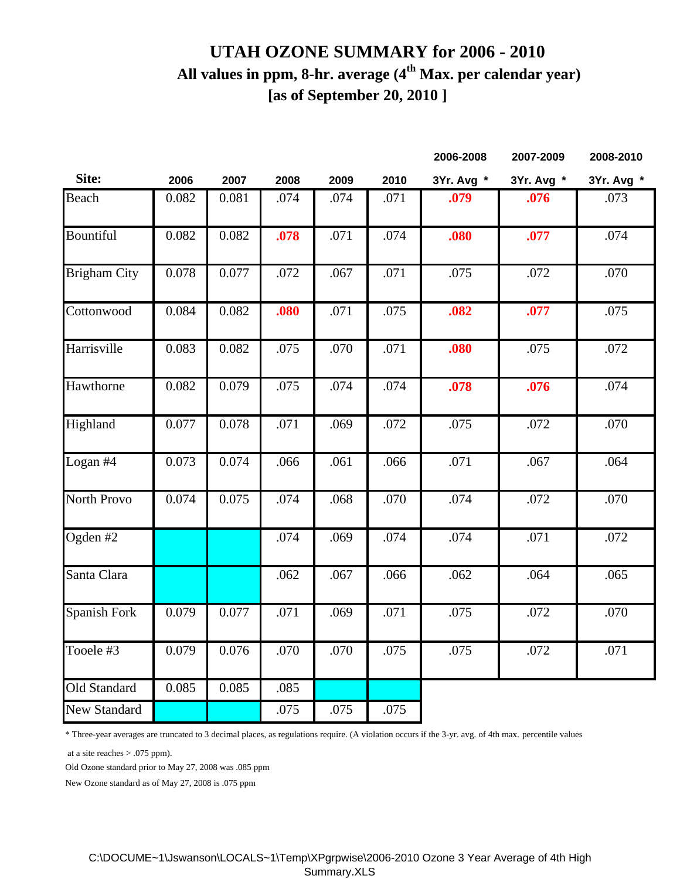## **UTAH OZONE SUMMARY for 2006 - 2010 All values in ppm, 8-hr. average (4th Max. per calendar year) [as of September 20, 2010 ]**

|                     |       |       |      |      |      | 2006-2008  | 2007-2009  | 2008-2010  |
|---------------------|-------|-------|------|------|------|------------|------------|------------|
| Site:               | 2006  | 2007  | 2008 | 2009 | 2010 | 3Yr. Avg * | 3Yr. Avg * | 3Yr. Avg * |
| Beach               | 0.082 | 0.081 | .074 | .074 | .071 | .079       | .076       | .073       |
| Bountiful           | 0.082 | 0.082 | .078 | .071 | .074 | .080       | .077       | .074       |
| <b>Brigham City</b> | 0.078 | 0.077 | .072 | .067 | .071 | .075       | .072       | .070       |
| Cottonwood          | 0.084 | 0.082 | .080 | .071 | .075 | .082       | .077       | .075       |
| Harrisville         | 0.083 | 0.082 | .075 | .070 | .071 | .080       | .075       | .072       |
| Hawthorne           | 0.082 | 0.079 | .075 | .074 | .074 | .078       | .076       | .074       |
| Highland            | 0.077 | 0.078 | .071 | .069 | .072 | .075       | .072       | .070       |
| Logan #4            | 0.073 | 0.074 | .066 | .061 | .066 | .071       | .067       | .064       |
| North Provo         | 0.074 | 0.075 | .074 | .068 | .070 | .074       | .072       | .070       |
| Ogden #2            |       |       | .074 | .069 | .074 | .074       | .071       | .072       |
| Santa Clara         |       |       | .062 | .067 | .066 | .062       | .064       | .065       |
| Spanish Fork        | 0.079 | 0.077 | .071 | .069 | .071 | .075       | .072       | .070       |
| Tooele #3           | 0.079 | 0.076 | .070 | .070 | .075 | .075       | .072       | .071       |
| Old Standard        | 0.085 | 0.085 | .085 |      |      |            |            |            |
| <b>New Standard</b> |       |       | .075 | .075 | .075 |            |            |            |

\* Three-year averages are truncated to 3 decimal places, as regulations require. (A violation occurs if the 3-yr. avg. of 4th max. percentile values

at a site reaches > .075 ppm).

Old Ozone standard prior to May 27, 2008 was .085 ppm

New Ozone standard as of May 27, 2008 is .075 ppm